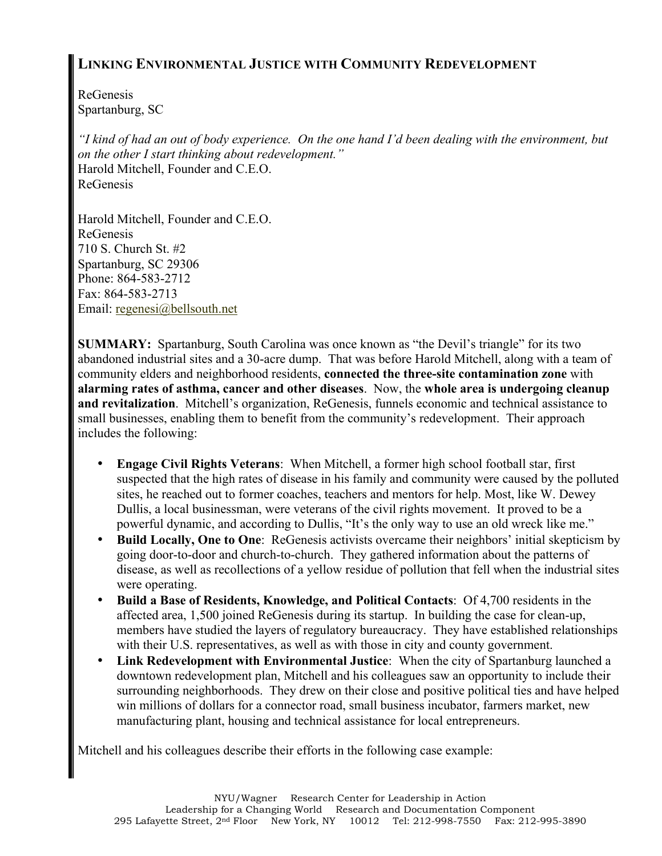## **LINKING ENVIRONMENTAL JUSTICE WITH COMMUNITY REDEVELOPMENT**

ReGenesis Spartanburg, SC

*"I kind of had an out of body experience. On the one hand I'd been dealing with the environment, but on the other I start thinking about redevelopment."* Harold Mitchell, Founder and C.E.O. ReGenesis

Harold Mitchell, Founder and C.E.O. ReGenesis 710 S. Church St. #2 Spartanburg, SC 29306 Phone: 864-583-2712 Fax: 864-583-2713 Email: regenesi@bellsouth.net

**SUMMARY:** Spartanburg, South Carolina was once known as "the Devil's triangle" for its two abandoned industrial sites and a 30-acre dump. That was before Harold Mitchell, along with a team of community elders and neighborhood residents, **connected the three-site contamination zone** with **alarming rates of asthma, cancer and other diseases**. Now, the **whole area is undergoing cleanup and revitalization**. Mitchell's organization, ReGenesis, funnels economic and technical assistance to small businesses, enabling them to benefit from the community's redevelopment. Their approach includes the following:

- **Engage Civil Rights Veterans**: When Mitchell, a former high school football star, first suspected that the high rates of disease in his family and community were caused by the polluted sites, he reached out to former coaches, teachers and mentors for help. Most, like W. Dewey Dullis, a local businessman, were veterans of the civil rights movement. It proved to be a powerful dynamic, and according to Dullis, "It's the only way to use an old wreck like me."
- **Build Locally, One to One**: ReGenesis activists overcame their neighbors' initial skepticism by going door-to-door and church-to-church. They gathered information about the patterns of disease, as well as recollections of a yellow residue of pollution that fell when the industrial sites were operating.
- **Build a Base of Residents, Knowledge, and Political Contacts**: Of 4,700 residents in the affected area, 1,500 joined ReGenesis during its startup. In building the case for clean-up, members have studied the layers of regulatory bureaucracy. They have established relationships with their U.S. representatives, as well as with those in city and county government.
- **Link Redevelopment with Environmental Justice**: When the city of Spartanburg launched a downtown redevelopment plan, Mitchell and his colleagues saw an opportunity to include their surrounding neighborhoods. They drew on their close and positive political ties and have helped win millions of dollars for a connector road, small business incubator, farmers market, new manufacturing plant, housing and technical assistance for local entrepreneurs.

Mitchell and his colleagues describe their efforts in the following case example: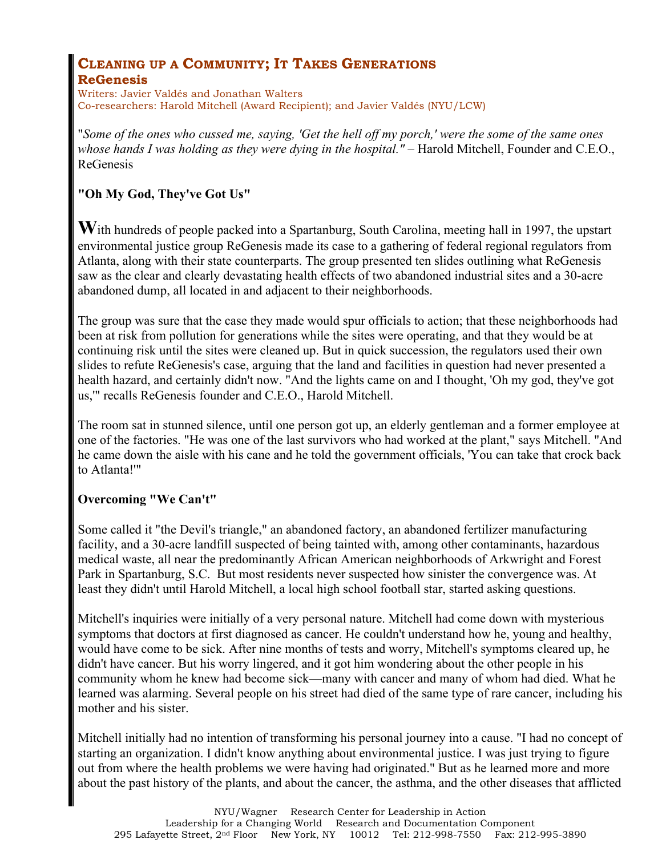# **CLEANING UP A COMMUNITY; IT TAKES GENERATIONS**

#### **ReGenesis**

Writers: Javier Valdés and Jonathan Walters Co-researchers: Harold Mitchell (Award Recipient); and Javier Valdés (NYU/LCW)

"*Some of the ones who cussed me, saying, 'Get the hell off my porch,' were the some of the same ones whose hands I was holding as they were dying in the hospital."* – Harold Mitchell, Founder and C.E.O., ReGenesis

### **"Oh My God, They've Got Us"**

**W**ith hundreds of people packed into a Spartanburg, South Carolina, meeting hall in 1997, the upstart environmental justice group ReGenesis made its case to a gathering of federal regional regulators from Atlanta, along with their state counterparts. The group presented ten slides outlining what ReGenesis saw as the clear and clearly devastating health effects of two abandoned industrial sites and a 30-acre abandoned dump, all located in and adjacent to their neighborhoods.

The group was sure that the case they made would spur officials to action; that these neighborhoods had been at risk from pollution for generations while the sites were operating, and that they would be at continuing risk until the sites were cleaned up. But in quick succession, the regulators used their own slides to refute ReGenesis's case, arguing that the land and facilities in question had never presented a health hazard, and certainly didn't now. "And the lights came on and I thought, 'Oh my god, they've got us,'" recalls ReGenesis founder and C.E.O., Harold Mitchell.

The room sat in stunned silence, until one person got up, an elderly gentleman and a former employee at one of the factories. "He was one of the last survivors who had worked at the plant," says Mitchell. "And he came down the aisle with his cane and he told the government officials, 'You can take that crock back to Atlanta!'"

#### **Overcoming "We Can't"**

Some called it "the Devil's triangle," an abandoned factory, an abandoned fertilizer manufacturing facility, and a 30-acre landfill suspected of being tainted with, among other contaminants, hazardous medical waste, all near the predominantly African American neighborhoods of Arkwright and Forest Park in Spartanburg, S.C. But most residents never suspected how sinister the convergence was. At least they didn't until Harold Mitchell, a local high school football star, started asking questions.

Mitchell's inquiries were initially of a very personal nature. Mitchell had come down with mysterious symptoms that doctors at first diagnosed as cancer. He couldn't understand how he, young and healthy, would have come to be sick. After nine months of tests and worry, Mitchell's symptoms cleared up, he didn't have cancer. But his worry lingered, and it got him wondering about the other people in his community whom he knew had become sick—many with cancer and many of whom had died. What he learned was alarming. Several people on his street had died of the same type of rare cancer, including his mother and his sister.

Mitchell initially had no intention of transforming his personal journey into a cause. "I had no concept of starting an organization. I didn't know anything about environmental justice. I was just trying to figure out from where the health problems we were having had originated." But as he learned more and more about the past history of the plants, and about the cancer, the asthma, and the other diseases that afflicted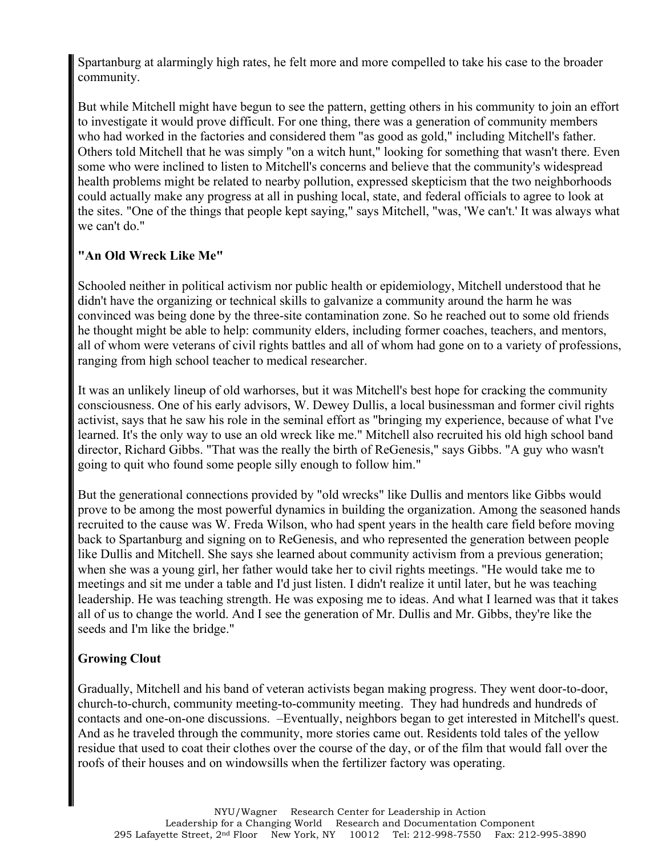Spartanburg at alarmingly high rates, he felt more and more compelled to take his case to the broader community.

But while Mitchell might have begun to see the pattern, getting others in his community to join an effort to investigate it would prove difficult. For one thing, there was a generation of community members who had worked in the factories and considered them "as good as gold," including Mitchell's father. Others told Mitchell that he was simply "on a witch hunt," looking for something that wasn't there. Even some who were inclined to listen to Mitchell's concerns and believe that the community's widespread health problems might be related to nearby pollution, expressed skepticism that the two neighborhoods could actually make any progress at all in pushing local, state, and federal officials to agree to look at the sites. "One of the things that people kept saying," says Mitchell, "was, 'We can't.' It was always what we can't do."

#### **"An Old Wreck Like Me"**

Schooled neither in political activism nor public health or epidemiology, Mitchell understood that he didn't have the organizing or technical skills to galvanize a community around the harm he was convinced was being done by the three-site contamination zone. So he reached out to some old friends he thought might be able to help: community elders, including former coaches, teachers, and mentors, all of whom were veterans of civil rights battles and all of whom had gone on to a variety of professions, ranging from high school teacher to medical researcher.

It was an unlikely lineup of old warhorses, but it was Mitchell's best hope for cracking the community consciousness. One of his early advisors, W. Dewey Dullis, a local businessman and former civil rights activist, says that he saw his role in the seminal effort as "bringing my experience, because of what I've learned. It's the only way to use an old wreck like me." Mitchell also recruited his old high school band director, Richard Gibbs. "That was the really the birth of ReGenesis," says Gibbs. "A guy who wasn't going to quit who found some people silly enough to follow him."

But the generational connections provided by "old wrecks" like Dullis and mentors like Gibbs would prove to be among the most powerful dynamics in building the organization. Among the seasoned hands recruited to the cause was W. Freda Wilson, who had spent years in the health care field before moving back to Spartanburg and signing on to ReGenesis, and who represented the generation between people like Dullis and Mitchell. She says she learned about community activism from a previous generation; when she was a young girl, her father would take her to civil rights meetings. "He would take me to meetings and sit me under a table and I'd just listen. I didn't realize it until later, but he was teaching leadership. He was teaching strength. He was exposing me to ideas. And what I learned was that it takes all of us to change the world. And I see the generation of Mr. Dullis and Mr. Gibbs, they're like the seeds and I'm like the bridge."

#### **Growing Clout**

Gradually, Mitchell and his band of veteran activists began making progress. They went door-to-door, church-to-church, community meeting-to-community meeting. They had hundreds and hundreds of contacts and one-on-one discussions. –Eventually, neighbors began to get interested in Mitchell's quest. And as he traveled through the community, more stories came out. Residents told tales of the yellow residue that used to coat their clothes over the course of the day, or of the film that would fall over the roofs of their houses and on windowsills when the fertilizer factory was operating.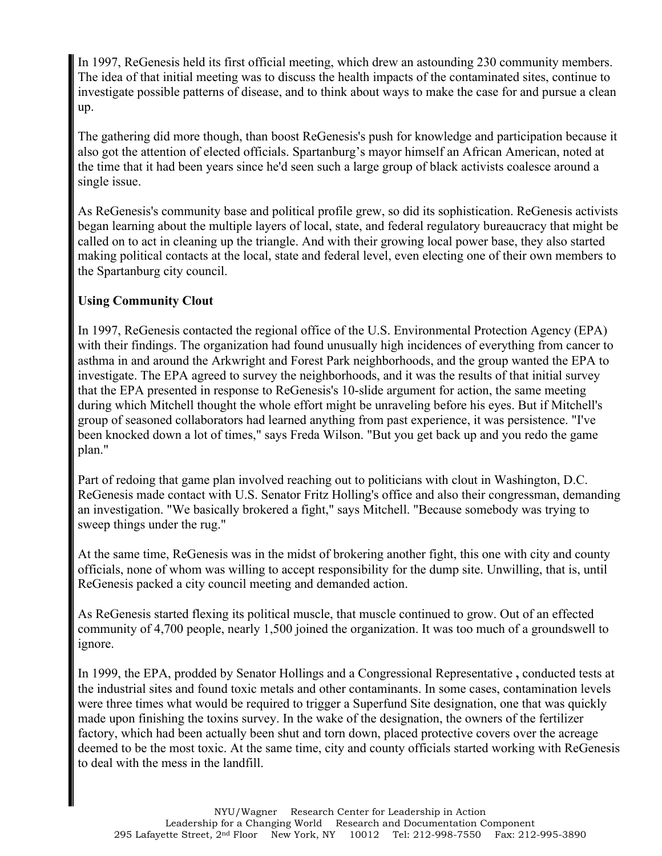In 1997, ReGenesis held its first official meeting, which drew an astounding 230 community members. The idea of that initial meeting was to discuss the health impacts of the contaminated sites, continue to investigate possible patterns of disease, and to think about ways to make the case for and pursue a clean up.

The gathering did more though, than boost ReGenesis's push for knowledge and participation because it also got the attention of elected officials. Spartanburg's mayor himself an African American, noted at the time that it had been years since he'd seen such a large group of black activists coalesce around a single issue.

As ReGenesis's community base and political profile grew, so did its sophistication. ReGenesis activists began learning about the multiple layers of local, state, and federal regulatory bureaucracy that might be called on to act in cleaning up the triangle. And with their growing local power base, they also started making political contacts at the local, state and federal level, even electing one of their own members to the Spartanburg city council.

#### **Using Community Clout**

In 1997, ReGenesis contacted the regional office of the U.S. Environmental Protection Agency (EPA) with their findings. The organization had found unusually high incidences of everything from cancer to asthma in and around the Arkwright and Forest Park neighborhoods, and the group wanted the EPA to investigate. The EPA agreed to survey the neighborhoods, and it was the results of that initial survey that the EPA presented in response to ReGenesis's 10-slide argument for action, the same meeting during which Mitchell thought the whole effort might be unraveling before his eyes. But if Mitchell's group of seasoned collaborators had learned anything from past experience, it was persistence. "I've been knocked down a lot of times," says Freda Wilson. "But you get back up and you redo the game plan."

Part of redoing that game plan involved reaching out to politicians with clout in Washington, D.C. ReGenesis made contact with U.S. Senator Fritz Holling's office and also their congressman, demanding an investigation. "We basically brokered a fight," says Mitchell. "Because somebody was trying to sweep things under the rug."

At the same time, ReGenesis was in the midst of brokering another fight, this one with city and county officials, none of whom was willing to accept responsibility for the dump site. Unwilling, that is, until ReGenesis packed a city council meeting and demanded action.

As ReGenesis started flexing its political muscle, that muscle continued to grow. Out of an effected community of 4,700 people, nearly 1,500 joined the organization. It was too much of a groundswell to ignore.

In 1999, the EPA, prodded by Senator Hollings and a Congressional Representative **,** conducted tests at the industrial sites and found toxic metals and other contaminants. In some cases, contamination levels were three times what would be required to trigger a Superfund Site designation, one that was quickly made upon finishing the toxins survey. In the wake of the designation, the owners of the fertilizer factory, which had been actually been shut and torn down, placed protective covers over the acreage deemed to be the most toxic. At the same time, city and county officials started working with ReGenesis to deal with the mess in the landfill.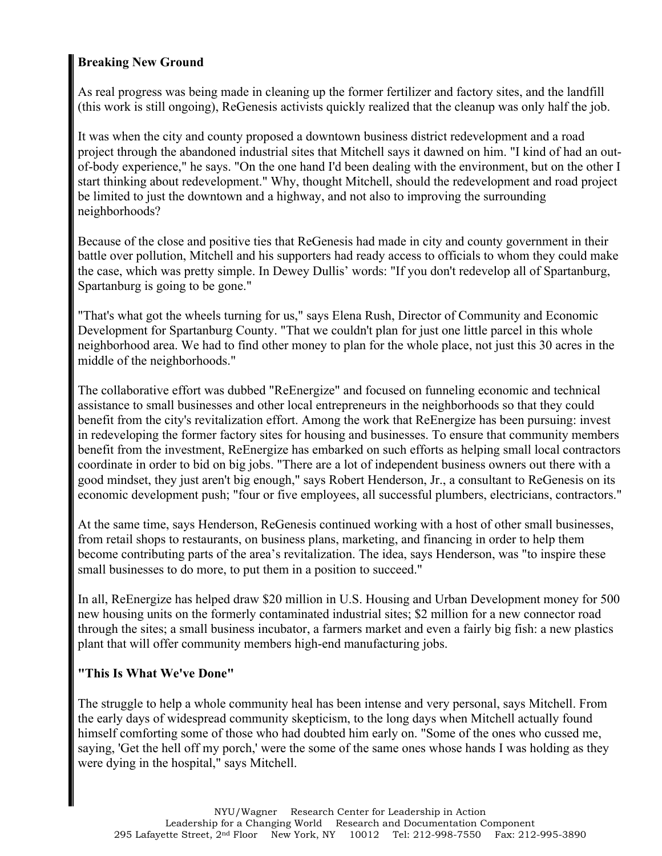#### **Breaking New Ground**

As real progress was being made in cleaning up the former fertilizer and factory sites, and the landfill (this work is still ongoing), ReGenesis activists quickly realized that the cleanup was only half the job.

It was when the city and county proposed a downtown business district redevelopment and a road project through the abandoned industrial sites that Mitchell says it dawned on him. "I kind of had an outof-body experience," he says. "On the one hand I'd been dealing with the environment, but on the other I start thinking about redevelopment." Why, thought Mitchell, should the redevelopment and road project be limited to just the downtown and a highway, and not also to improving the surrounding neighborhoods?

Because of the close and positive ties that ReGenesis had made in city and county government in their battle over pollution, Mitchell and his supporters had ready access to officials to whom they could make the case, which was pretty simple. In Dewey Dullis' words: "If you don't redevelop all of Spartanburg, Spartanburg is going to be gone."

"That's what got the wheels turning for us," says Elena Rush, Director of Community and Economic Development for Spartanburg County. "That we couldn't plan for just one little parcel in this whole neighborhood area. We had to find other money to plan for the whole place, not just this 30 acres in the middle of the neighborhoods."

The collaborative effort was dubbed "ReEnergize" and focused on funneling economic and technical assistance to small businesses and other local entrepreneurs in the neighborhoods so that they could benefit from the city's revitalization effort. Among the work that ReEnergize has been pursuing: invest in redeveloping the former factory sites for housing and businesses. To ensure that community members benefit from the investment, ReEnergize has embarked on such efforts as helping small local contractors coordinate in order to bid on big jobs. "There are a lot of independent business owners out there with a good mindset, they just aren't big enough," says Robert Henderson, Jr., a consultant to ReGenesis on its economic development push; "four or five employees, all successful plumbers, electricians, contractors."

At the same time, says Henderson, ReGenesis continued working with a host of other small businesses, from retail shops to restaurants, on business plans, marketing, and financing in order to help them become contributing parts of the area's revitalization. The idea, says Henderson, was "to inspire these small businesses to do more, to put them in a position to succeed."

In all, ReEnergize has helped draw \$20 million in U.S. Housing and Urban Development money for 500 new housing units on the formerly contaminated industrial sites; \$2 million for a new connector road through the sites; a small business incubator, a farmers market and even a fairly big fish: a new plastics plant that will offer community members high-end manufacturing jobs.

#### **"This Is What We've Done"**

The struggle to help a whole community heal has been intense and very personal, says Mitchell. From the early days of widespread community skepticism, to the long days when Mitchell actually found himself comforting some of those who had doubted him early on. "Some of the ones who cussed me, saying, 'Get the hell off my porch,' were the some of the same ones whose hands I was holding as they were dying in the hospital," says Mitchell.